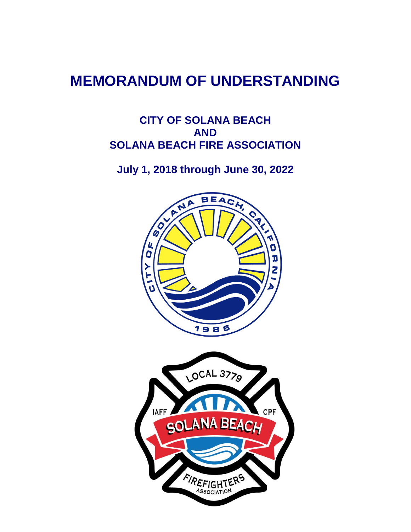# **MEMORANDUM OF UNDERSTANDING**

# **CITY OF SOLANA BEACH AND SOLANA BEACH FIRE ASSOCIATION**

**July 1, 2018 through June 30, 2022**

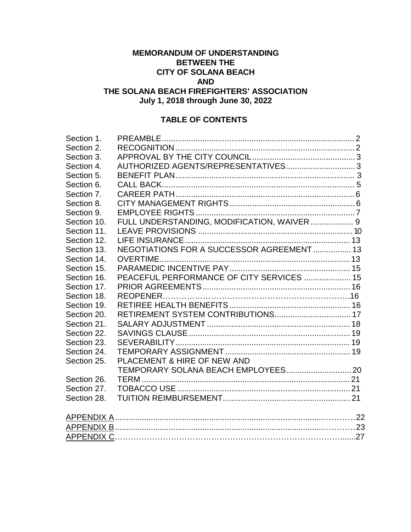# **MEMORANDUM OF UNDERSTANDING BETWEEN THE CITY OF SOLANA BEACH AND THE SOLANA BEACH FIREFIGHTERS' ASSOCIATION**

**July 1, 2018 through June 30, 2022**

# **TABLE OF CONTENTS**

| Section 1.  |                                             |  |
|-------------|---------------------------------------------|--|
| Section 2.  |                                             |  |
| Section 3.  |                                             |  |
| Section 4.  | AUTHORIZED AGENTS/REPRESENTATIVES 3         |  |
| Section 5.  |                                             |  |
| Section 6.  |                                             |  |
| Section 7.  |                                             |  |
| Section 8.  |                                             |  |
| Section 9.  |                                             |  |
| Section 10. | FULL UNDERSTANDING, MODIFICATION, WAIVER  9 |  |
| Section 11. |                                             |  |
| Section 12. |                                             |  |
| Section 13. | NEGOTIATIONS FOR A SUCCESSOR AGREEMENT 13   |  |
| Section 14. |                                             |  |
| Section 15. |                                             |  |
| Section 16. | PEACEFUL PERFORMANCE OF CITY SERVICES  15   |  |
| Section 17. |                                             |  |
| Section 18. |                                             |  |
| Section 19. |                                             |  |
| Section 20. | RETIREMENT SYSTEM CONTRIBUTIONS 17          |  |
| Section 21. |                                             |  |
| Section 22. |                                             |  |
| Section 23. |                                             |  |
| Section 24. |                                             |  |
| Section 25. | PLACEMENT & HIRE OF NEW AND                 |  |
|             |                                             |  |
| Section 26. |                                             |  |
| Section 27. |                                             |  |
| Section 28. |                                             |  |
|             |                                             |  |
|             |                                             |  |
|             |                                             |  |
|             |                                             |  |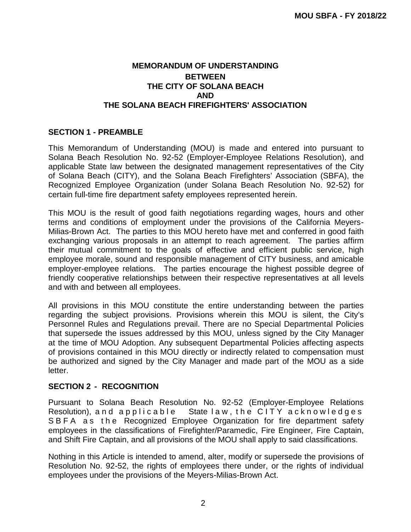# **MEMORANDUM OF UNDERSTANDING BETWEEN THE CITY OF SOLANA BEACH AND THE SOLANA BEACH FIREFIGHTERS' ASSOCIATION**

#### **SECTION 1 - PREAMBLE**

This Memorandum of Understanding (MOU) is made and entered into pursuant to Solana Beach Resolution No. 92-52 (Employer-Employee Relations Resolution), and applicable State law between the designated management representatives of the City of Solana Beach (CITY), and the Solana Beach Firefighters' Association (SBFA), the Recognized Employee Organization (under Solana Beach Resolution No. 92-52) for certain full-time fire department safety employees represented herein.

This MOU is the result of good faith negotiations regarding wages, hours and other terms and conditions of employment under the provisions of the California Meyers-Milias-Brown Act. The parties to this MOU hereto have met and conferred in good faith exchanging various proposals in an attempt to reach agreement. The parties affirm their mutual commitment to the goals of effective and efficient public service, high employee morale, sound and responsible management of CITY business, and amicable employer-employee relations. The parties encourage the highest possible degree of friendly cooperative relationships between their respective representatives at all levels and with and between all employees.

All provisions in this MOU constitute the entire understanding between the parties regarding the subject provisions. Provisions wherein this MOU is silent, the City's Personnel Rules and Regulations prevail. There are no Special Departmental Policies that supersede the issues addressed by this MOU, unless signed by the City Manager at the time of MOU Adoption. Any subsequent Departmental Policies affecting aspects of provisions contained in this MOU directly or indirectly related to compensation must be authorized and signed by the City Manager and made part of the MOU as a side letter.

#### **SECTION 2 - RECOGNITION**

Pursuant to Solana Beach Resolution No. 92-52 (Employer-Employee Relations Resolution), and applicable State law, the CITY acknowledges SBFA as the Recognized Employee Organization for fire department safety employees in the classifications of Firefighter/Paramedic, Fire Engineer, Fire Captain, and Shift Fire Captain, and all provisions of the MOU shall apply to said classifications.

Nothing in this Article is intended to amend, alter, modify or supersede the provisions of Resolution No. 92-52, the rights of employees there under, or the rights of individual employees under the provisions of the Meyers-Milias-Brown Act.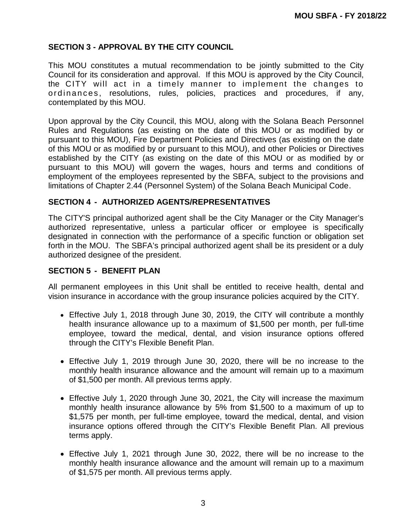# **SECTION 3 - APPROVAL BY THE CITY COUNCIL**

This MOU constitutes a mutual recommendation to be jointly submitted to the City Council for its consideration and approval. If this MOU is approved by the City Council, the CITY will act in a timely manner to implement the changes to or din ances, resolutions, rules, policies, practices and procedures, if any, contemplated by this MOU.

Upon approval by the City Council, this MOU, along with the Solana Beach Personnel Rules and Regulations (as existing on the date of this MOU or as modified by or pursuant to this MOU), Fire Department Policies and Directives (as existing on the date of this MOU or as modified by or pursuant to this MOU), and other Policies or Directives established by the CITY (as existing on the date of this MOU or as modified by or pursuant to this MOU) will govern the wages, hours and terms and conditions of employment of the employees represented by the SBFA, subject to the provisions and limitations of Chapter 2.44 (Personnel System) of the Solana Beach Municipal Code.

#### **SECTION 4 - AUTHORIZED AGENTS/REPRESENTATIVES**

The CITY'S principal authorized agent shall be the City Manager or the City Manager's authorized representative, unless a particular officer or employee is specifically designated in connection with the performance of a specific function or obligation set forth in the MOU. The SBFA's principal authorized agent shall be its president or a duly authorized designee of the president.

#### **SECTION 5 - BENEFIT PLAN**

All permanent employees in this Unit shall be entitled to receive health, dental and vision insurance in accordance with the group insurance policies acquired by the CITY.

- Effective July 1, 2018 through June 30, 2019, the CITY will contribute a monthly health insurance allowance up to a maximum of \$1,500 per month, per full-time employee, toward the medical, dental, and vision insurance options offered through the CITY's Flexible Benefit Plan.
- Effective July 1, 2019 through June 30, 2020, there will be no increase to the monthly health insurance allowance and the amount will remain up to a maximum of \$1,500 per month. All previous terms apply.
- Effective July 1, 2020 through June 30, 2021, the City will increase the maximum monthly health insurance allowance by 5% from \$1,500 to a maximum of up to \$1,575 per month, per full-time employee, toward the medical, dental, and vision insurance options offered through the CITY's Flexible Benefit Plan. All previous terms apply.
- Effective July 1, 2021 through June 30, 2022, there will be no increase to the monthly health insurance allowance and the amount will remain up to a maximum of \$1,575 per month. All previous terms apply.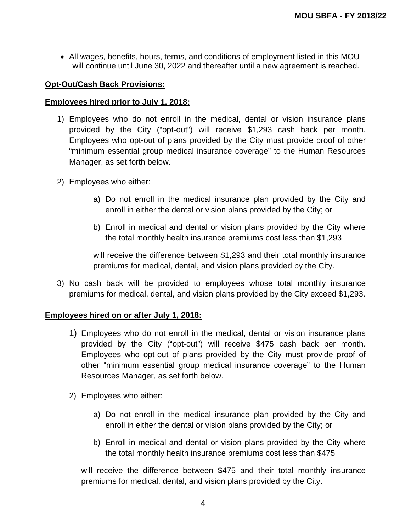All wages, benefits, hours, terms, and conditions of employment listed in this MOU will continue until June 30, 2022 and thereafter until a new agreement is reached.

#### **Opt-Out/Cash Back Provisions:**

#### **Employees hired prior to July 1, 2018:**

- 1) Employees who do not enroll in the medical, dental or vision insurance plans provided by the City ("opt-out") will receive \$1,293 cash back per month. Employees who opt-out of plans provided by the City must provide proof of other "minimum essential group medical insurance coverage" to the Human Resources Manager, as set forth below.
- 2) Employees who either:
	- a) Do not enroll in the medical insurance plan provided by the City and enroll in either the dental or vision plans provided by the City; or
	- b) Enroll in medical and dental or vision plans provided by the City where the total monthly health insurance premiums cost less than \$1,293

will receive the difference between \$1,293 and their total monthly insurance premiums for medical, dental, and vision plans provided by the City.

3) No cash back will be provided to employees whose total monthly insurance premiums for medical, dental, and vision plans provided by the City exceed \$1,293.

#### **Employees hired on or after July 1, 2018:**

- 1) Employees who do not enroll in the medical, dental or vision insurance plans provided by the City ("opt-out") will receive \$475 cash back per month. Employees who opt-out of plans provided by the City must provide proof of other "minimum essential group medical insurance coverage" to the Human Resources Manager, as set forth below.
- 2) Employees who either:
	- a) Do not enroll in the medical insurance plan provided by the City and enroll in either the dental or vision plans provided by the City; or
	- b) Enroll in medical and dental or vision plans provided by the City where the total monthly health insurance premiums cost less than \$475

will receive the difference between \$475 and their total monthly insurance premiums for medical, dental, and vision plans provided by the City.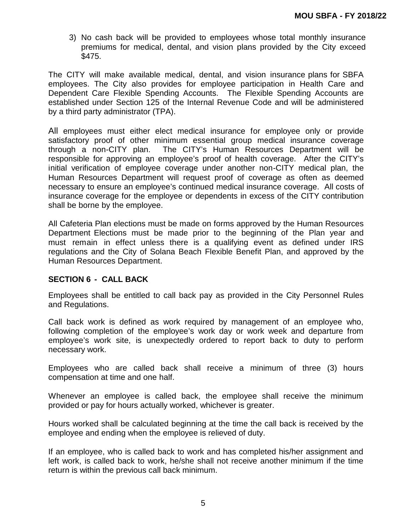3) No cash back will be provided to employees whose total monthly insurance premiums for medical, dental, and vision plans provided by the City exceed \$475.

The CITY will make available medical, dental, and vision insurance plans for SBFA employees. The City also provides for employee participation in Health Care and Dependent Care Flexible Spending Accounts. The Flexible Spending Accounts are established under Section 125 of the Internal Revenue Code and will be administered by a third party administrator (TPA).

All employees must either elect medical insurance for employee only or provide satisfactory proof of other minimum essential group medical insurance coverage through a non-CITY plan. The CITY's Human Resources Department will be responsible for approving an employee's proof of health coverage. After the CITY's initial verification of employee coverage under another non-CITY medical plan, the Human Resources Department will request proof of coverage as often as deemed necessary to ensure an employee's continued medical insurance coverage. All costs of insurance coverage for the employee or dependents in excess of the CITY contribution shall be borne by the employee.

All Cafeteria Plan elections must be made on forms approved by the Human Resources Department Elections must be made prior to the beginning of the Plan year and must remain in effect unless there is a qualifying event as defined under IRS regulations and the City of Solana Beach Flexible Benefit Plan, and approved by the Human Resources Department.

#### **SECTION 6 - CALL BACK**

Employees shall be entitled to call back pay as provided in the City Personnel Rules and Regulations.

Call back work is defined as work required by management of an employee who, following completion of the employee's work day or work week and departure from employee's work site, is unexpectedly ordered to report back to duty to perform necessary work.

Employees who are called back shall receive a minimum of three (3) hours compensation at time and one half.

Whenever an employee is called back, the employee shall receive the minimum provided or pay for hours actually worked, whichever is greater.

Hours worked shall be calculated beginning at the time the call back is received by the employee and ending when the employee is relieved of duty.

If an employee, who is called back to work and has completed his/her assignment and left work, is called back to work, he/she shall not receive another minimum if the time return is within the previous call back minimum.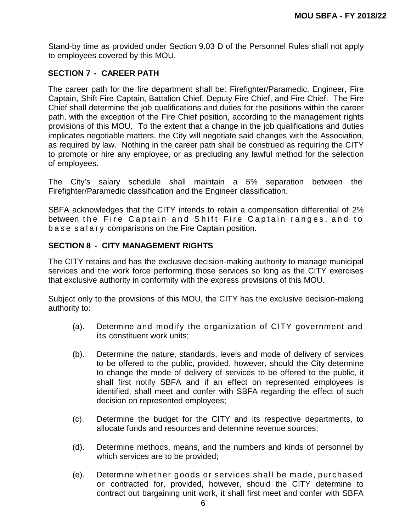Stand-by time as provided under Section 9.03 D of the Personnel Rules shall not apply to employees covered by this MOU.

# **SECTION 7 - CAREER PATH**

The career path for the fire department shall be: Firefighter/Paramedic, Engineer, Fire Captain, Shift Fire Captain, Battalion Chief, Deputy Fire Chief, and Fire Chief. The Fire Chief shall determine the job qualifications and duties for the positions within the career path, with the exception of the Fire Chief position, according to the management rights provisions of this MOU. To the extent that a change in the job qualifications and duties implicates negotiable matters, the City will negotiate said changes with the Association, as required by law. Nothing in the career path shall be construed as requiring the CITY to promote or hire any employee, or as precluding any lawful method for the selection of employees.

The City's salary schedule shall maintain a 5% separation between the Firefighter/Paramedic classification and the Engineer classification.

SBFA acknowledges that the CITY intends to retain a compensation differential of 2% between the Fire Captain and Shift Fire Captain ranges, and to b a s e s a l a r y comparisons on the Fire Captain position.

#### **SECTION 8 - CITY MANAGEMENT RIGHTS**

The CITY retains and has the exclusive decision-making authority to manage municipal services and the work force performing those services so long as the CITY exercises that exclusive authority in conformity with the express provisions of this MOU.

Subject only to the provisions of this MOU, the CITY has the exclusive decision-making authority to:

- (a). Determine and modify the organization of CITY government and its constituent work units;
- (b). Determine the nature, standards, levels and mode of delivery of services to be offered to the public, provided, however, should the City determine to change the mode of delivery of services to be offered to the public, it shall first notify SBFA and if an effect on represented employees is identified, shall meet and confer with SBFA regarding the effect of such decision on represented employees;
- (c). Determine the budget for the CITY and its respective departments, to allocate funds and resources and determine revenue sources;
- (d). Determine methods, means, and the numbers and kinds of personnel by which services are to be provided;
- (e). Determine whether goods or services shall be made, purchased or contracted for, provided, however, should the CITY determine to contract out bargaining unit work, it shall first meet and confer with SBFA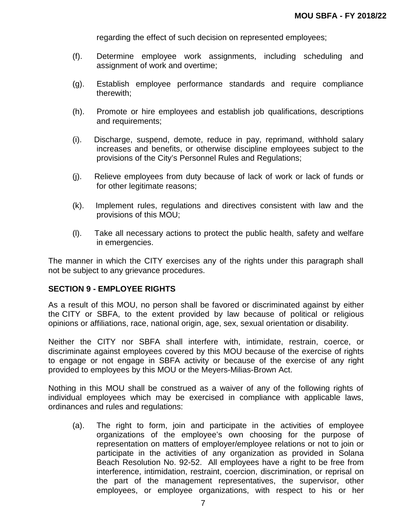regarding the effect of such decision on represented employees;

- (f). Determine employee work assignments, including scheduling and assignment of work and overtime;
- (g). Establish employee performance standards and require compliance therewith;
- (h). Promote or hire employees and establish job qualifications, descriptions and requirements;
- (i). Discharge, suspend, demote, reduce in pay, reprimand, withhold salary increases and benefits, or otherwise discipline employees subject to the provisions of the City's Personnel Rules and Regulations;
- (j). Relieve employees from duty because of lack of work or lack of funds or for other legitimate reasons;
- (k). Implement rules, regulations and directives consistent with law and the provisions of this MOU;
- (l). Take all necessary actions to protect the public health, safety and welfare in emergencies.

The manner in which the CITY exercises any of the rights under this paragraph shall not be subject to any grievance procedures.

#### **SECTION 9 - EMPLOYEE RIGHTS**

As a result of this MOU, no person shall be favored or discriminated against by either the CITY or SBFA, to the extent provided by law because of political or religious opinions or affiliations, race, national origin, age, sex, sexual orientation or disability.

Neither the CITY nor SBFA shall interfere with, intimidate, restrain, coerce, or discriminate against employees covered by this MOU because of the exercise of rights to engage or not engage in SBFA activity or because of the exercise of any right provided to employees by this MOU or the Meyers-Milias-Brown Act.

Nothing in this MOU shall be construed as a waiver of any of the following rights of individual employees which may be exercised in compliance with applicable laws, ordinances and rules and regulations:

(a). The right to form, join and participate in the activities of employee organizations of the employee's own choosing for the purpose of representation on matters of employer/employee relations or not to join or participate in the activities of any organization as provided in Solana Beach Resolution No. 92-52. All employees have a right to be free from interference, intimidation, restraint, coercion, discrimination, or reprisal on the part of the management representatives, the supervisor, other employees, or employee organizations, with respect to his or her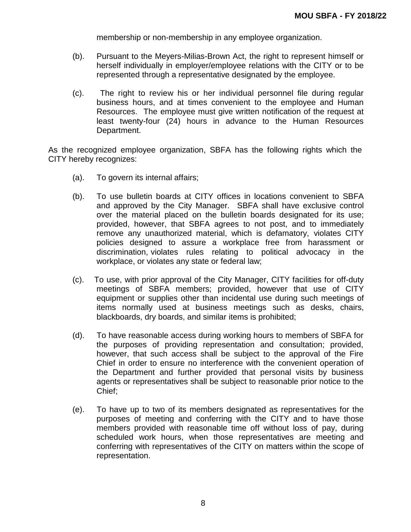membership or non-membership in any employee organization.

- (b). Pursuant to the Meyers-Milias-Brown Act, the right to represent himself or herself individually in employer/employee relations with the CITY or to be represented through a representative designated by the employee.
- (c). The right to review his or her individual personnel file during regular business hours, and at times convenient to the employee and Human Resources. The employee must give written notification of the request at least twenty-four (24) hours in advance to the Human Resources Department.

As the recognized employee organization, SBFA has the following rights which the CITY hereby recognizes:

- (a). To govern its internal affairs;
- (b). To use bulletin boards at CITY offices in locations convenient to SBFA and approved by the City Manager. SBFA shall have exclusive control over the material placed on the bulletin boards designated for its use; provided, however, that SBFA agrees to not post, and to immediately remove any unauthorized material, which is defamatory, violates CITY policies designed to assure a workplace free from harassment or discrimination, violates rules relating to political advocacy in the workplace, or violates any state or federal law;
- (c). To use, with prior approval of the City Manager, CITY facilities for off-duty meetings of SBFA members; provided, however that use of CITY equipment or supplies other than incidental use during such meetings of items normally used at business meetings such as desks, chairs, blackboards, dry boards, and similar items is prohibited;
- (d). To have reasonable access during working hours to members of SBFA for the purposes of providing representation and consultation; provided, however, that such access shall be subject to the approval of the Fire Chief in order to ensure no interference with the convenient operation of the Department and further provided that personal visits by business agents or representatives shall be subject to reasonable prior notice to the Chief;
- (e). To have up to two of its members designated as representatives for the purposes of meeting and conferring with the CITY and to have those members provided with reasonable time off without loss of pay, during scheduled work hours, when those representatives are meeting and conferring with representatives of the CITY on matters within the scope of representation.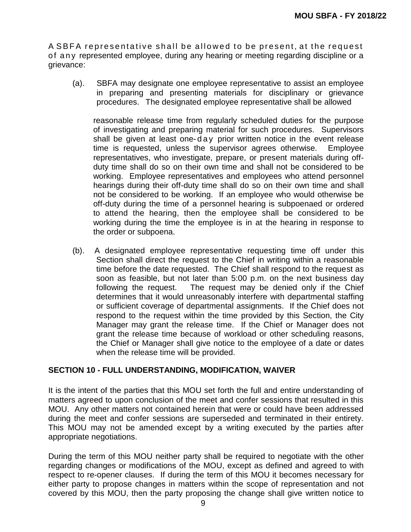A SBFA representative shall be allowed to be present, at the request of anv represented employee, during any hearing or meeting regarding discipline or a grievance:

(a). SBFA may designate one employee representative to assist an employee in preparing and presenting materials for disciplinary or grievance procedures. The designated employee representative shall be allowed

reasonable release time from regularly scheduled duties for the purpose of investigating and preparing material for such procedures. Supervisors shall be given at least one-day prior written notice in the event release time is requested, unless the supervisor agrees otherwise. Employee representatives, who investigate, prepare, or present materials during offduty time shall do so on their own time and shall not be considered to be working. Employee representatives and employees who attend personnel hearings during their off-duty time shall do so on their own time and shall not be considered to be working. If an employee who would otherwise be off-duty during the time of a personnel hearing is subpoenaed or ordered to attend the hearing, then the employee shall be considered to be working during the time the employee is in at the hearing in response to the order or subpoena.

(b).A designated employee representative requesting time off under this Section shall direct the request to the Chief in writing within a reasonable time before the date requested. The Chief shall respond to the request as soon as feasible, but not later than 5:00 p.m. on the next business day following the request. The request may be denied only if the Chief determines that it would unreasonably interfere with departmental staffing or sufficient coverage of departmental assignments. If the Chief does not respond to the request within the time provided by this Section, the City Manager may grant the release time. If the Chief or Manager does not grant the release time because of workload or other scheduling reasons, the Chief or Manager shall give notice to the employee of a date or dates when the release time will be provided.

#### **SECTION 10 - FULL UNDERSTANDING, MODIFICATION, WAIVER**

It is the intent of the parties that this MOU set forth the full and entire understanding of matters agreed to upon conclusion of the meet and confer sessions that resulted in this MOU. Any other matters not contained herein that were or could have been addressed during the meet and confer sessions are superseded and terminated in their entirety. This MOU may not be amended except by a writing executed by the parties after appropriate negotiations.

During the term of this MOU neither party shall be required to negotiate with the other regarding changes or modifications of the MOU, except as defined and agreed to with respect to re-opener clauses. If during the term of this MOU it becomes necessary for either party to propose changes in matters within the scope of representation and not covered by this MOU, then the party proposing the change shall give written notice to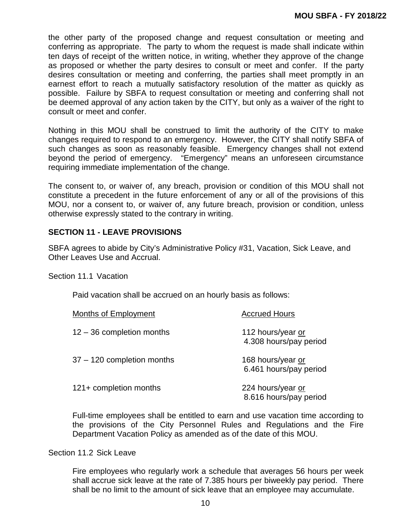the other party of the proposed change and request consultation or meeting and conferring as appropriate. The party to whom the request is made shall indicate within ten days of receipt of the written notice, in writing, whether they approve of the change as proposed or whether the party desires to consult or meet and confer. If the party desires consultation or meeting and conferring, the parties shall meet promptly in an earnest effort to reach a mutually satisfactory resolution of the matter as quickly as possible. Failure by SBFA to request consultation or meeting and conferring shall not be deemed approval of any action taken by the CITY, but only as a waiver of the right to consult or meet and confer.

Nothing in this MOU shall be construed to limit the authority of the CITY to make changes required to respond to an emergency. However, the CITY shall notify SBFA of such changes as soon as reasonably feasible. Emergency changes shall not extend beyond the period of emergency. "Emergency" means an unforeseen circumstance requiring immediate implementation of the change.

The consent to, or waiver of, any breach, provision or condition of this MOU shall not constitute a precedent in the future enforcement of any or all of the provisions of this MOU, nor a consent to, or waiver of, any future breach, provision or condition, unless otherwise expressly stated to the contrary in writing.

#### **SECTION 11 - LEAVE PROVISIONS**

SBFA agrees to abide by City's Administrative Policy #31, Vacation, Sick Leave, and Other Leaves Use and Accrual.

Section 11.1 Vacation

Paid vacation shall be accrued on an hourly basis as follows:

| Months of Employment        | <b>Accrued Hours</b>                        |
|-----------------------------|---------------------------------------------|
| $12 - 36$ completion months | 112 hours/year or<br>4.308 hours/pay period |
| 37 - 120 completion months  | 168 hours/year or<br>6.461 hours/pay period |
| 121+ completion months      | 224 hours/year or<br>8.616 hours/pay period |

Full-time employees shall be entitled to earn and use vacation time according to the provisions of the City Personnel Rules and Regulations and the Fire Department Vacation Policy as amended as of the date of this MOU.

Section 11.2 Sick Leave

Fire employees who regularly work a schedule that averages 56 hours per week shall accrue sick leave at the rate of 7.385 hours per biweekly pay period. There shall be no limit to the amount of sick leave that an employee may accumulate.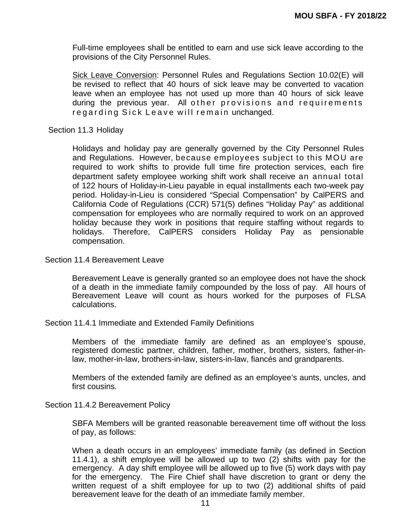Full-time employees shall be entitled to earn and use sick leave according to the provisions of the City Personnel Rules.

Sick Leave Conversion: Personnel Rules and Regulations Section 10.02(E) will be revised to reflect that 40 hours of sick leave may be converted to vacation leave when an employee has not used up more than 40 hours of sick leave during the previous year. All other provisions and requirements regarding Sick Leave will remain unchanged.

Section 11.3 Holiday

Holidays and holiday pay are generally governed by the City Personnel Rules and Regulations. However, because employees subject to this MOU are required to work shifts to provide full time fire protection services, each fire department safety employee working shift work shall receive an annual total of 122 hours of Holiday-in-Lieu payable in equal installments each two-week pay period. Holiday-in-Lieu is considered "Special Compensation" by CalPERS and California Code of Regulations (CCR) 571(5) defines "Holiday Pay" as additional compensation for employees who are normally required to work on an approved holiday because they work in positions that require staffing without regards to holidays. Therefore, CalPERS considers Holiday Pay as pensionable compensation.

Section 11.4 Bereavement Leave

Bereavement Leave is generally granted so an employee does not have the shock of a death in the immediate family compounded by the loss of pay. All hours of Bereavement Leave will count as hours worked for the purposes of FLSA calculations.

Section 11.4.1 Immediate and Extended Family Definitions

Members of the immediate family are defined as an employee's spouse, registered domestic partner, children, father, mother, brothers, sisters, father-inlaw, mother-in-law, brothers-in-law, sisters-in-law, fiancés and grandparents.

Members of the extended family are defined as an employee's aunts, uncles, and first cousins.

Section 11.4.2 Bereavement Policy

SBFA Members will be granted reasonable bereavement time off without the loss of pay, as follows:

When a death occurs in an employees' immediate family (as defined in Section 11.4.1), a shift employee will be allowed up to two (2) shifts with pay for the emergency. A day shift employee will be allowed up to five (5) work days with pay for the emergency. The Fire Chief shall have discretion to grant or deny the written request of a shift employee for up to two (2) additional shifts of paid bereavement leave for the death of an immediate family member.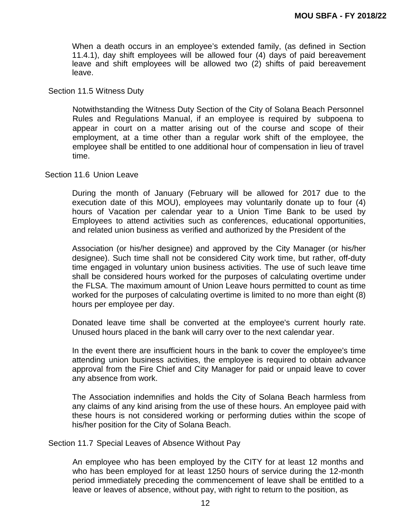When a death occurs in an employee's extended family, (as defined in Section 11.4.1), day shift employees will be allowed four (4) days of paid bereavement leave and shift employees will be allowed two (2) shifts of paid bereavement leave.

#### Section 11.5 Witness Duty

Notwithstanding the Witness Duty Section of the City of Solana Beach Personnel Rules and Regulations Manual, if an employee is required by subpoena to appear in court on a matter arising out of the course and scope of their employment, at a time other than a regular work shift of the employee, the employee shall be entitled to one additional hour of compensation in lieu of travel time.

#### Section 11.6 Union Leave

During the month of January (February will be allowed for 2017 due to the execution date of this MOU), employees may voluntarily donate up to four (4) hours of Vacation per calendar year to a Union Time Bank to be used by Employees to attend activities such as conferences, educational opportunities, and related union business as verified and authorized by the President of the

Association (or his/her designee) and approved by the City Manager (or his/her designee). Such time shall not be considered City work time, but rather, off-duty time engaged in voluntary union business activities. The use of such leave time shall be considered hours worked for the purposes of calculating overtime under the FLSA. The maximum amount of Union Leave hours permitted to count as time worked for the purposes of calculating overtime is limited to no more than eight (8) hours per employee per day.

Donated leave time shall be converted at the employee's current hourly rate. Unused hours placed in the bank will carry over to the next calendar year.

In the event there are insufficient hours in the bank to cover the employee's time attending union business activities, the employee is required to obtain advance approval from the Fire Chief and City Manager for paid or unpaid leave to cover any absence from work.

The Association indemnifies and holds the City of Solana Beach harmless from any claims of any kind arising from the use of these hours. An employee paid with these hours is not considered working or performing duties within the scope of his/her position for the City of Solana Beach.

Section 11.7 Special Leaves of Absence Without Pay

An employee who has been employed by the CITY for at least 12 months and who has been employed for at least 1250 hours of service during the 12-month period immediately preceding the commencement of leave shall be entitled to a leave or leaves of absence, without pay, with right to return to the position, as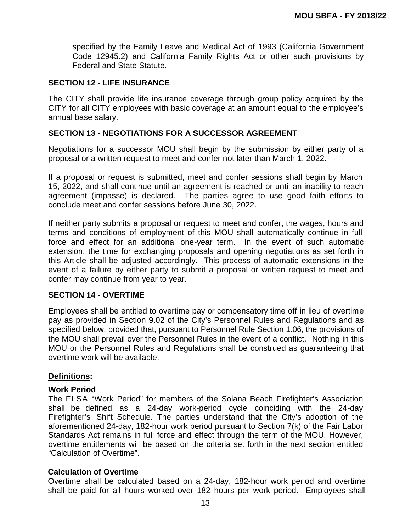specified by the Family Leave and Medical Act of 1993 (California Government Code 12945.2) and California Family Rights Act or other such provisions by Federal and State Statute.

#### **SECTION 12 - LIFE INSURANCE**

The CITY shall provide life insurance coverage through group policy acquired by the CITY for all CITY employees with basic coverage at an amount equal to the employee's annual base salary.

#### **SECTION 13 - NEGOTIATIONS FOR A SUCCESSOR AGREEMENT**

Negotiations for a successor MOU shall begin by the submission by either party of a proposal or a written request to meet and confer not later than March 1, 2022.

If a proposal or request is submitted, meet and confer sessions shall begin by March 15, 2022, and shall continue until an agreement is reached or until an inability to reach agreement (impasse) is declared. The parties agree to use good faith efforts to conclude meet and confer sessions before June 30, 2022.

If neither party submits a proposal or request to meet and confer, the wages, hours and terms and conditions of employment of this MOU shall automatically continue in full force and effect for an additional one-year term. In the event of such automatic extension, the time for exchanging proposals and opening negotiations as set forth in this Article shall be adjusted accordingly. This process of automatic extensions in the event of a failure by either party to submit a proposal or written request to meet and confer may continue from year to year.

#### **SECTION 14 - OVERTIME**

Employees shall be entitled to overtime pay or compensatory time off in lieu of overtime pay as provided in Section 9.02 of the City's Personnel Rules and Regulations and as specified below, provided that, pursuant to Personnel Rule Section 1.06, the provisions of the MOU shall prevail over the Personnel Rules in the event of a conflict. Nothing in this MOU or the Personnel Rules and Regulations shall be construed as guaranteeing that overtime work will be available.

#### **Definitions:**

#### **Work Period**

The FLSA "Work Period" for members of the Solana Beach Firefighter's Association shall be defined as a 24-day work-period cycle coinciding with the 24-day Firefighter's Shift Schedule. The parties understand that the City's adoption of the aforementioned 24-day, 182-hour work period pursuant to Section 7(k) of the Fair Labor Standards Act remains in full force and effect through the term of the MOU. However, overtime entitlements will be based on the criteria set forth in the next section entitled "Calculation of Overtime".

#### **Calculation of Overtime**

 Overtime shall be calculated based on a 24-day, 182-hour work period and overtime shall be paid for all hours worked over 182 hours per work period. Employees shall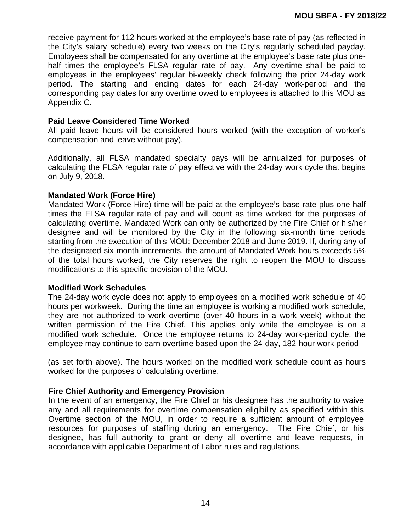receive payment for 112 hours worked at the employee's base rate of pay (as reflected in the City's salary schedule) every two weeks on the City's regularly scheduled payday. Employees shall be compensated for any overtime at the employee's base rate plus onehalf times the employee's FLSA regular rate of pay. Any overtime shall be paid to employees in the employees' regular bi-weekly check following the prior 24-day work period. The starting and ending dates for each 24-day work-period and the corresponding pay dates for any overtime owed to employees is attached to this MOU as Appendix C.

#### **Paid Leave Considered Time Worked**

 All paid leave hours will be considered hours worked (with the exception of worker's compensation and leave without pay).

Additionally, all FLSA mandated specialty pays will be annualized for purposes of calculating the FLSA regular rate of pay effective with the 24-day work cycle that begins on July 9, 2018.

#### **Mandated Work (Force Hire)**

 Mandated Work (Force Hire) time will be paid at the employee's base rate plus one half times the FLSA regular rate of pay and will count as time worked for the purposes of calculating overtime. Mandated Work can only be authorized by the Fire Chief or his/her designee and will be monitored by the City in the following six-month time periods starting from the execution of this MOU: December 2018 and June 2019. If, during any of the designated six month increments, the amount of Mandated Work hours exceeds 5% of the total hours worked, the City reserves the right to reopen the MOU to discuss modifications to this specific provision of the MOU.

#### **Modified Work Schedules**

The 24-day work cycle does not apply to employees on a modified work schedule of 40 hours per workweek. During the time an employee is working a modified work schedule, they are not authorized to work overtime (over 40 hours in a work week) without the written permission of the Fire Chief. This applies only while the employee is on a modified work schedule. Once the employee returns to 24-day work-period cycle, the employee may continue to earn overtime based upon the 24-day, 182-hour work period

(as set forth above). The hours worked on the modified work schedule count as hours worked for the purposes of calculating overtime.

#### **Fire Chief Authority and Emergency Provision**

In the event of an emergency, the Fire Chief or his designee has the authority to waive any and all requirements for overtime compensation eligibility as specified within this Overtime section of the MOU, in order to require a sufficient amount of employee resources for purposes of staffing during an emergency. The Fire Chief, or his designee, has full authority to grant or deny all overtime and leave requests, in accordance with applicable Department of Labor rules and regulations.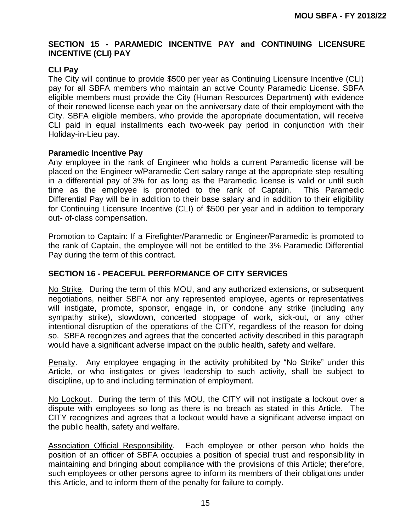# **SECTION 15 - PARAMEDIC INCENTIVE PAY and CONTINUING LICENSURE INCENTIVE (CLI) PAY**

# **CLI Pay**

The City will continue to provide \$500 per year as Continuing Licensure Incentive (CLI) pay for all SBFA members who maintain an active County Paramedic License. SBFA eligible members must provide the City (Human Resources Department) with evidence of their renewed license each year on the anniversary date of their employment with the City. SBFA eligible members, who provide the appropriate documentation, will receive CLI paid in equal installments each two-week pay period in conjunction with their Holiday-in-Lieu pay.

#### **Paramedic Incentive Pay**

Any employee in the rank of Engineer who holds a current Paramedic license will be placed on the Engineer w/Paramedic Cert salary range at the appropriate step resulting in a differential pay of 3% for as long as the Paramedic license is valid or until such time as the employee is promoted to the rank of Captain. This Paramedic Differential Pay will be in addition to their base salary and in addition to their eligibility for Continuing Licensure Incentive (CLI) of \$500 per year and in addition to temporary out- of-class compensation.

Promotion to Captain: If a Firefighter/Paramedic or Engineer/Paramedic is promoted to the rank of Captain, the employee will not be entitled to the 3% Paramedic Differential Pay during the term of this contract.

#### **SECTION 16 - PEACEFUL PERFORMANCE OF CITY SERVICES**

No Strike. During the term of this MOU, and any authorized extensions, or subsequent negotiations, neither SBFA nor any represented employee, agents or representatives will instigate, promote, sponsor, engage in, or condone any strike (including any sympathy strike), slowdown, concerted stoppage of work, sick-out, or any other intentional disruption of the operations of the CITY, regardless of the reason for doing so. SBFA recognizes and agrees that the concerted activity described in this paragraph would have a significant adverse impact on the public health, safety and welfare.

Penalty. Any employee engaging in the activity prohibited by "No Strike" under this Article, or who instigates or gives leadership to such activity, shall be subject to discipline, up to and including termination of employment.

No Lockout. During the term of this MOU, the CITY will not instigate a lockout over a dispute with employees so long as there is no breach as stated in this Article. The CITY recognizes and agrees that a lockout would have a significant adverse impact on the public health, safety and welfare.

Association Official Responsibility. Each employee or other person who holds the position of an officer of SBFA occupies a position of special trust and responsibility in maintaining and bringing about compliance with the provisions of this Article; therefore, such employees or other persons agree to inform its members of their obligations under this Article, and to inform them of the penalty for failure to comply.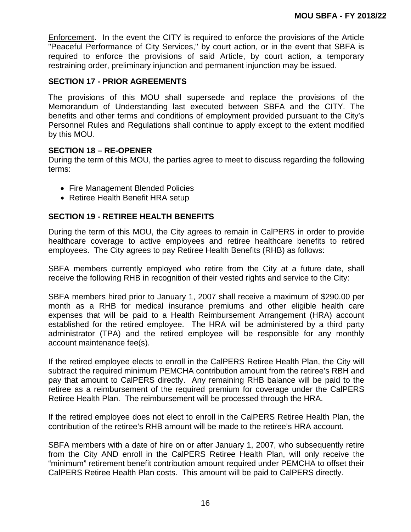Enforcement. In the event the CITY is required to enforce the provisions of the Article "Peaceful Performance of City Services," by court action, or in the event that SBFA is required to enforce the provisions of said Article, by court action, a temporary restraining order, preliminary injunction and permanent injunction may be issued.

#### **SECTION 17 - PRIOR AGREEMENTS**

The provisions of this MOU shall supersede and replace the provisions of the Memorandum of Understanding last executed between SBFA and the CITY. The benefits and other terms and conditions of employment provided pursuant to the City's Personnel Rules and Regulations shall continue to apply except to the extent modified by this MOU.

#### **SECTION 18 – RE-OPENER**

During the term of this MOU, the parties agree to meet to discuss regarding the following terms:

- Fire Management Blended Policies
- Retiree Health Benefit HRA setup

## **SECTION 19 - RETIREE HEALTH BENEFITS**

During the term of this MOU, the City agrees to remain in CalPERS in order to provide healthcare coverage to active employees and retiree healthcare benefits to retired employees. The City agrees to pay Retiree Health Benefits (RHB) as follows:

SBFA members currently employed who retire from the City at a future date, shall receive the following RHB in recognition of their vested rights and service to the City:

SBFA members hired prior to January 1, 2007 shall receive a maximum of \$290.00 per month as a RHB for medical insurance premiums and other eligible health care expenses that will be paid to a Health Reimbursement Arrangement (HRA) account established for the retired employee. The HRA will be administered by a third party administrator (TPA) and the retired employee will be responsible for any monthly account maintenance fee(s).

If the retired employee elects to enroll in the CalPERS Retiree Health Plan, the City will subtract the required minimum PEMCHA contribution amount from the retiree's RBH and pay that amount to CalPERS directly. Any remaining RHB balance will be paid to the retiree as a reimbursement of the required premium for coverage under the CalPERS Retiree Health Plan. The reimbursement will be processed through the HRA.

If the retired employee does not elect to enroll in the CalPERS Retiree Health Plan, the contribution of the retiree's RHB amount will be made to the retiree's HRA account.

SBFA members with a date of hire on or after January 1, 2007, who subsequently retire from the City AND enroll in the CalPERS Retiree Health Plan, will only receive the "minimum" retirement benefit contribution amount required under PEMCHA to offset their CalPERS Retiree Health Plan costs. This amount will be paid to CalPERS directly.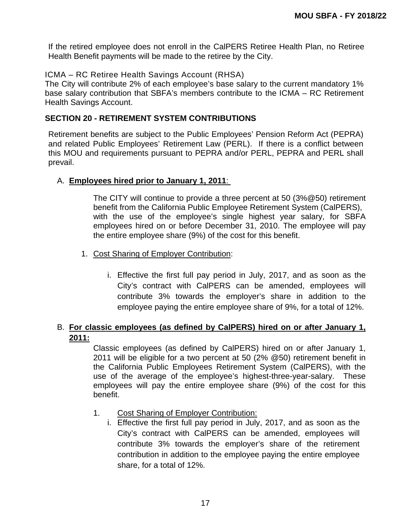If the retired employee does not enroll in the CalPERS Retiree Health Plan, no Retiree Health Benefit payments will be made to the retiree by the City.

# ICMA – RC Retiree Health Savings Account (RHSA)

The City will contribute 2% of each employee's base salary to the current mandatory 1% base salary contribution that SBFA's members contribute to the ICMA – RC Retirement Health Savings Account.

#### **SECTION 20 - RETIREMENT SYSTEM CONTRIBUTIONS**

Retirement benefits are subject to the Public Employees' Pension Reform Act (PEPRA) and related Public Employees' Retirement Law (PERL). If there is a conflict between this MOU and requirements pursuant to PEPRA and/or PERL, PEPRA and PERL shall prevail.

#### A. **Employees hired prior to January 1, 2011**:

The CITY will continue to provide a three percent at 50 (3%@50) retirement benefit from the California Public Employee Retirement System (CalPERS), with the use of the employee's single highest year salary, for SBFA employees hired on or before December 31, 2010. The employee will pay the entire employee share (9%) of the cost for this benefit.

- 1. Cost Sharing of Employer Contribution:
	- i. Effective the first full pay period in July, 2017, and as soon as the City's contract with CalPERS can be amended, employees will contribute 3% towards the employer's share in addition to the employee paying the entire employee share of 9%, for a total of 12%.

# B. **For classic employees (as defined by CalPERS) hired on or after January 1, 2011:**

Classic employees (as defined by CalPERS) hired on or after January 1, 2011 will be eligible for a two percent at 50 (2% @50) retirement benefit in the California Public Employees Retirement System (CalPERS), with the use of the average of the employee's highest-three-year-salary. These employees will pay the entire employee share (9%) of the cost for this benefit.

- 1. Cost Sharing of Employer Contribution:
	- i. Effective the first full pay period in July, 2017, and as soon as the City's contract with CalPERS can be amended, employees will contribute 3% towards the employer's share of the retirement contribution in addition to the employee paying the entire employee share, for a total of 12%.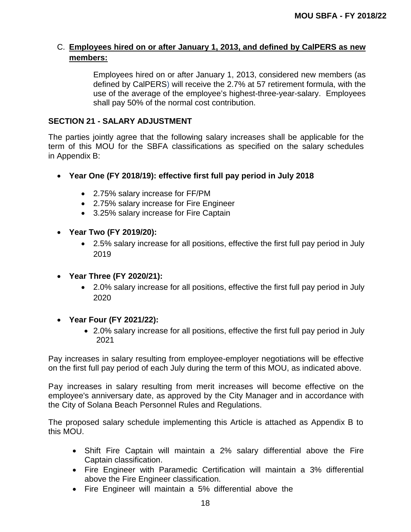# C. **Employees hired on or after January 1, 2013, and defined by CalPERS as new members:**

Employees hired on or after January 1, 2013, considered new members (as defined by CalPERS) will receive the 2.7% at 57 retirement formula, with the use of the average of the employee's highest-three-year-salary. Employees shall pay 50% of the normal cost contribution.

#### **SECTION 21 - SALARY ADJUSTMENT**

The parties jointly agree that the following salary increases shall be applicable for the term of this MOU for the SBFA classifications as specified on the salary schedules in Appendix B:

- **Year One (FY 2018/19): effective first full pay period in July 2018** 
	- 2.75% salary increase for FF/PM
	- 2.75% salary increase for Fire Engineer
	- 3.25% salary increase for Fire Captain
- **Year Two (FY 2019/20):** 
	- 2.5% salary increase for all positions, effective the first full pay period in July 2019
- **Year Three (FY 2020/21):** 
	- 2.0% salary increase for all positions, effective the first full pay period in July 2020
- **Year Four (FY 2021/22):** 
	- 2.0% salary increase for all positions, effective the first full pay period in July 2021

Pay increases in salary resulting from employee-employer negotiations will be effective on the first full pay period of each July during the term of this MOU, as indicated above.

Pay increases in salary resulting from merit increases will become effective on the employee's anniversary date, as approved by the City Manager and in accordance with the City of Solana Beach Personnel Rules and Regulations.

The proposed salary schedule implementing this Article is attached as Appendix B to this MOU.

- Shift Fire Captain will maintain a 2% salary differential above the Fire Captain classification.
- Fire Engineer with Paramedic Certification will maintain a 3% differential above the Fire Engineer classification.
- Fire Engineer will maintain a 5% differential above the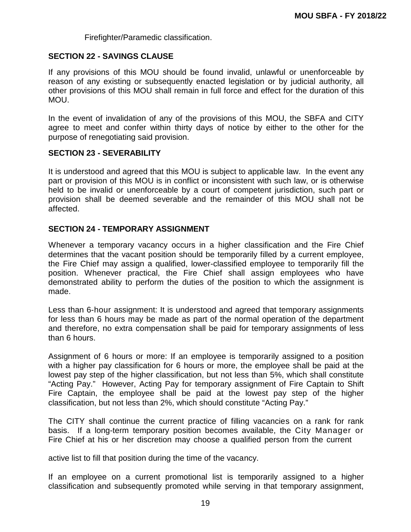Firefighter/Paramedic classification.

#### **SECTION 22 - SAVINGS CLAUSE**

If any provisions of this MOU should be found invalid, unlawful or unenforceable by reason of any existing or subsequently enacted legislation or by judicial authority, all other provisions of this MOU shall remain in full force and effect for the duration of this MOU.

In the event of invalidation of any of the provisions of this MOU, the SBFA and CITY agree to meet and confer within thirty days of notice by either to the other for the purpose of renegotiating said provision.

#### **SECTION 23 - SEVERABILITY**

It is understood and agreed that this MOU is subject to applicable law. In the event any part or provision of this MOU is in conflict or inconsistent with such law, or is otherwise held to be invalid or unenforceable by a court of competent jurisdiction, such part or provision shall be deemed severable and the remainder of this MOU shall not be affected.

#### **SECTION 24 - TEMPORARY ASSIGNMENT**

Whenever a temporary vacancy occurs in a higher classification and the Fire Chief determines that the vacant position should be temporarily filled by a current employee, the Fire Chief may assign a qualified, lower-classified employee to temporarily fill the position. Whenever practical, the Fire Chief shall assign employees who have demonstrated ability to perform the duties of the position to which the assignment is made.

Less than 6-hour assignment: It is understood and agreed that temporary assignments for less than 6 hours may be made as part of the normal operation of the department and therefore, no extra compensation shall be paid for temporary assignments of less than 6 hours.

Assignment of 6 hours or more: If an employee is temporarily assigned to a position with a higher pay classification for 6 hours or more, the employee shall be paid at the lowest pay step of the higher classification, but not less than 5%, which shall constitute "Acting Pay." However, Acting Pay for temporary assignment of Fire Captain to Shift Fire Captain, the employee shall be paid at the lowest pay step of the higher classification, but not less than 2%, which should constitute "Acting Pay."

The CITY shall continue the current practice of filling vacancies on a rank for rank basis. If a long-term temporary position becomes available, the City Manager or Fire Chief at his or her discretion may choose a qualified person from the current

active list to fill that position during the time of the vacancy.

If an employee on a current promotional list is temporarily assigned to a higher classification and subsequently promoted while serving in that temporary assignment,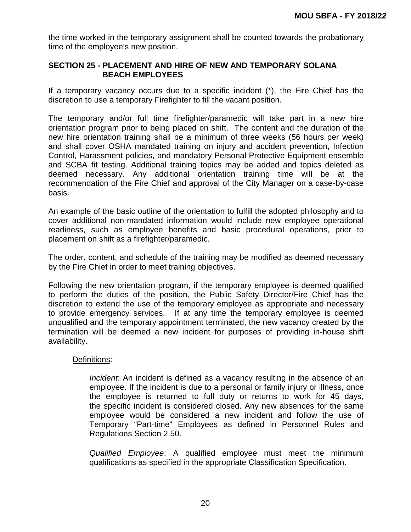the time worked in the temporary assignment shall be counted towards the probationary time of the employee's new position.

### **SECTION 25 - PLACEMENT AND HIRE OF NEW AND TEMPORARY SOLANA BEACH EMPLOYEES**

If a temporary vacancy occurs due to a specific incident (\*), the Fire Chief has the discretion to use a temporary Firefighter to fill the vacant position.

The temporary and/or full time firefighter/paramedic will take part in a new hire orientation program prior to being placed on shift. The content and the duration of the new hire orientation training shall be a minimum of three weeks (56 hours per week) and shall cover OSHA mandated training on injury and accident prevention, Infection Control, Harassment policies, and mandatory Personal Protective Equipment ensemble and SCBA fit testing. Additional training topics may be added and topics deleted as deemed necessary. Any additional orientation training time will be at the recommendation of the Fire Chief and approval of the City Manager on a case-by-case basis.

An example of the basic outline of the orientation to fulfill the adopted philosophy and to cover additional non-mandated information would include new employee operational readiness, such as employee benefits and basic procedural operations, prior to placement on shift as a firefighter/paramedic.

The order, content, and schedule of the training may be modified as deemed necessary by the Fire Chief in order to meet training objectives.

Following the new orientation program, if the temporary employee is deemed qualified to perform the duties of the position, the Public Safety Director/Fire Chief has the discretion to extend the use of the temporary employee as appropriate and necessary to provide emergency services. If at any time the temporary employee is deemed unqualified and the temporary appointment terminated, the new vacancy created by the termination will be deemed a new incident for purposes of providing in-house shift availability.

#### Definitions:

*Incident*: An incident is defined as a vacancy resulting in the absence of an employee. If the incident is due to a personal or family injury or illness, once the employee is returned to full duty or returns to work for 45 days, the specific incident is considered closed. Any new absences for the same employee would be considered a new incident and follow the use of Temporary "Part-time" Employees as defined in Personnel Rules and Regulations Section 2.50.

*Qualified Employee*: A qualified employee must meet the minimum qualifications as specified in the appropriate Classification Specification.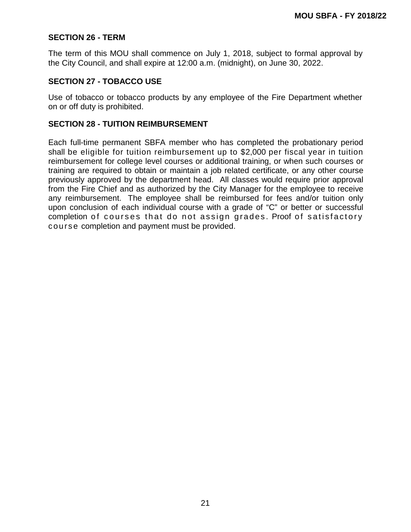#### **SECTION 26 - TERM**

The term of this MOU shall commence on July 1, 2018, subject to formal approval by the City Council, and shall expire at 12:00 a.m. (midnight), on June 30, 2022.

#### **SECTION 27 - TOBACCO USE**

Use of tobacco or tobacco products by any employee of the Fire Department whether on or off duty is prohibited.

#### **SECTION 28 - TUITION REIMBURSEMENT**

Each full-time permanent SBFA member who has completed the probationary period shall be eligible for tuition reimbursement up to \$2,000 per fiscal year in tuition reimbursement for college level courses or additional training, or when such courses or training are required to obtain or maintain a job related certificate, or any other course previously approved by the department head. All classes would require prior approval from the Fire Chief and as authorized by the City Manager for the employee to receive any reimbursement. The employee shall be reimbursed for fees and/or tuition only upon conclusion of each individual course with a grade of "C" or better or successful completion of courses that do not assign grades. Proof of satisfactory course completion and payment must be provided.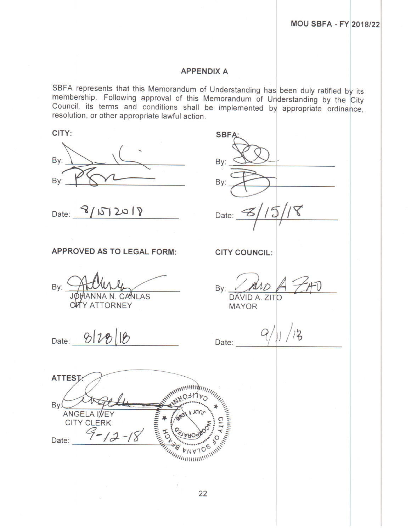#### **APPENDIX A**

SBFA represents that this Memorandum of Understanding has been duly ratified by its membership. Following approval of this Memorandum of Understanding by the City Council, its terms and conditions shall be implemented by appropriate ordinance, resolution, or other appropriate lawful action.

| CITY:                                                                              | <b>SBFA</b>                                 |    |
|------------------------------------------------------------------------------------|---------------------------------------------|----|
| By:<br>By:                                                                         | By:<br>By:                                  |    |
| Date: $8/15/2018$                                                                  | Date: $3/15/18$                             |    |
| <b>APPROVED AS TO LEGAL FORM:</b>                                                  | <b>CITY COUNCIL:</b>                        |    |
| By: What y<br><b>CUTY ATTORNEY</b>                                                 | $\n  By: \n  A and A.\n  \overline{D}MAYOR$ |    |
| Date: 2/28/18                                                                      | Date: $Q(y)$                                | 15 |
| <b>ATTEST</b>                                                                      |                                             |    |
| HEOH<br>By<br>ANGELA IVEY<br>$\lambda \eta \gamma$<br><b>CITY CLERK</b>            |                                             |    |
| <b>CONTRACTORY AND</b><br>Date: $9 - 12 - 18$<br><b><i>MARITAN MARY WINNER</i></b> |                                             |    |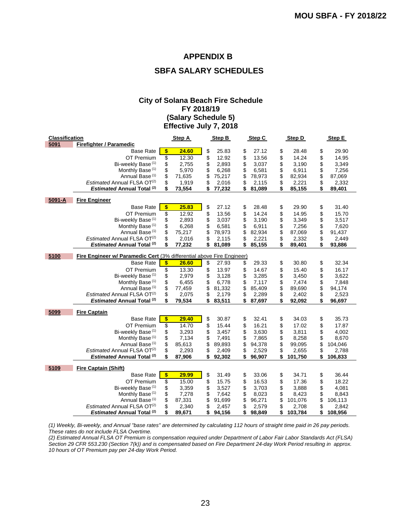#### **APPENDIX B**

### **SBFA SALARY SCHEDULES**

#### **City of Solana Beach Fire Schedule FY 2018/19 (Salary Schedule 5) Effective July 7, 2018**

| <b>Classification</b> |                                                                       |            | Step A | Step B       | Step C       | Step D        | Step E        |
|-----------------------|-----------------------------------------------------------------------|------------|--------|--------------|--------------|---------------|---------------|
| 5091                  | <b>Firefighter / Paramedic</b>                                        |            |        |              |              |               |               |
|                       | <b>Base Rate</b>                                                      | $\sqrt{3}$ | 24.60  | \$<br>25.83  | \$<br>27.12  | \$<br>28.48   | \$<br>29.90   |
|                       | OT Premium                                                            | \$         | 12.30  | \$<br>12.92  | \$<br>13.56  | \$<br>14.24   | \$<br>14.95   |
|                       | Bi-weekly Base <sup>(1)</sup>                                         | \$         | 2,755  | \$<br>2,893  | \$<br>3,037  | \$<br>3,190   | \$<br>3,349   |
|                       | Monthly Base <sup>(1)</sup>                                           | \$         | 5,970  | \$<br>6,268  | \$<br>6,581  | \$<br>6,911   | \$<br>7,256   |
|                       | Annual Base <sup>(1)</sup>                                            | \$         | 71,635 | \$<br>75,217 | \$<br>78,973 | \$<br>82,934  | \$<br>87,069  |
|                       | Estimated Annual FLSA OT <sup>(2)</sup>                               | \$         | 1,919  | \$<br>2,016  | \$<br>2,115  | \$<br>2,221   | \$<br>2,332   |
|                       | <b>Estimated Annual Total (2)</b>                                     | \$         | 73,554 | \$<br>77,232 | \$<br>81,089 | \$<br>85,155  | \$<br>89,401  |
| 5091-A                | <b>Fire Engineer</b>                                                  |            |        |              |              |               |               |
|                       | <b>Base Rate</b>                                                      | \$         | 25.83  | \$<br>27.12  | \$<br>28.48  | \$<br>29.90   | \$<br>31.40   |
|                       | OT Premium                                                            | \$         | 12.92  | \$<br>13.56  | \$<br>14.24  | \$<br>14.95   | \$<br>15.70   |
|                       | Bi-weekly Base <sup>(1)</sup>                                         | \$         | 2,893  | \$<br>3,037  | \$<br>3,190  | \$<br>3,349   | \$<br>3,517   |
|                       | Monthly Base <sup>(1)</sup>                                           | \$         | 6,268  | \$<br>6,581  | \$<br>6,911  | \$<br>7,256   | \$<br>7,620   |
|                       | Annual Base <sup>(1)</sup>                                            | \$         | 75,217 | \$<br>78,973 | \$<br>82,934 | \$<br>87,069  | \$<br>91,437  |
|                       | Estimated Annual FLSA OT <sup>(2)</sup>                               | \$         | 2,016  | \$<br>2,115  | \$<br>2,221  | \$<br>2,332   | \$<br>2,449   |
|                       | <b>Estimated Annual Total (2)</b>                                     | \$         | 77,232 | \$<br>81,089 | \$<br>85,155 | \$<br>89,401  | \$<br>93,886  |
| 5100                  | Fire Engineer w/ Paramedic Cert (3% differential above Fire Engineer) |            |        |              |              |               |               |
|                       | <b>Base Rate</b>                                                      | \$         | 26.60  | \$<br>27.93  | \$<br>29.33  | \$<br>30.80   | \$<br>32.34   |
|                       | OT Premium                                                            | \$         | 13.30  | \$<br>13.97  | \$<br>14.67  | \$<br>15.40   | \$<br>16.17   |
|                       | Bi-weekly Base <sup>(1)</sup>                                         | \$         | 2,979  | \$<br>3,128  | \$<br>3,285  | \$<br>3,450   | \$<br>3,622   |
|                       | Monthly Base <sup>(1)</sup>                                           | \$         | 6,455  | \$<br>6,778  | \$<br>7,117  | \$<br>7,474   | \$<br>7,848   |
|                       | Annual Base <sup>(1)</sup>                                            | \$         | 77,459 | \$<br>81,332 | \$<br>85,409 | \$<br>89,690  | \$<br>94,174  |
|                       | Estimated Annual FLSA OT <sup>(2)</sup>                               | \$         | 2,075  | \$<br>2,179  | \$<br>2,289  | \$<br>2,402   | \$<br>2,523   |
|                       | <b>Estimated Annual Total (2)</b>                                     | \$         | 79,534 | \$<br>83,511 | \$<br>87,697 | \$<br>92,092  | \$<br>96,697  |
| 5099                  | <b>Fire Captain</b>                                                   |            |        |              |              |               |               |
|                       | <b>Base Rate</b>                                                      | \$         | 29.40  | \$<br>30.87  | \$<br>32.41  | \$<br>34.03   | \$<br>35.73   |
|                       | OT Premium                                                            | \$         | 14.70  | \$<br>15.44  | \$<br>16.21  | \$<br>17.02   | \$<br>17.87   |
|                       | Bi-weekly Base <sup>(1)</sup>                                         | \$         | 3,293  | \$<br>3,457  | \$<br>3,630  | \$<br>3,811   | \$<br>4,002   |
|                       | Monthly Base <sup>(1)</sup>                                           | \$         | 7,134  | \$<br>7,491  | \$<br>7,865  | \$<br>8,258   | \$<br>8,670   |
|                       | Annual Base <sup>(1)</sup>                                            | \$         | 85,613 | \$<br>89,893 | \$<br>94,378 | \$<br>99,095  | \$<br>104,046 |
|                       | Estimated Annual FLSA OT <sup>(2)</sup>                               | \$         | 2,293  | \$<br>2,409  | \$<br>2,529  | \$<br>2,655   | \$<br>2,788   |
|                       | <b>Estimated Annual Total (2)</b>                                     | \$         | 87,906 | \$<br>92,302 | \$<br>96,907 | \$<br>101,750 | \$<br>106,833 |
| 5109                  | <b>Fire Captain (Shift)</b>                                           |            |        |              |              |               |               |
|                       | <b>Base Rate</b>                                                      | \$         | 29.99  | \$<br>31.49  | \$<br>33.06  | \$<br>34.71   | \$<br>36.44   |
|                       | OT Premium                                                            | \$         | 15.00  | \$<br>15.75  | \$<br>16.53  | \$<br>17.36   | \$<br>18.22   |
|                       | Bi-weekly Base <sup>(1)</sup>                                         | \$         | 3,359  | \$<br>3,527  | \$<br>3,703  | \$<br>3,888   | \$<br>4,081   |
|                       | Monthly Base <sup>(1)</sup>                                           | \$         | 7,278  | \$<br>7,642  | \$<br>8,023  | \$<br>8,423   | \$<br>8,843   |
|                       | Annual Base <sup>(1)</sup>                                            | \$         | 87,331 | \$<br>91,699 | \$<br>96,271 | \$<br>101,076 | \$<br>106,113 |
|                       | Estimated Annual FLSA OT <sup>(2)</sup>                               | \$         | 2,340  | \$<br>2,457  | \$<br>2,579  | \$<br>2,708   | \$<br>2,842   |
|                       | <b>Estimated Annual Total (2)</b>                                     | \$         | 89,671 | \$<br>94,156 | \$<br>98,849 | \$<br>103,784 | \$<br>108,956 |

*(1) Weekly, Bi-weekly, and Annual "base rates" are determined by calculating 112 hours of straight time paid in 26 pay periods. These rates do not include FLSA Overtime.*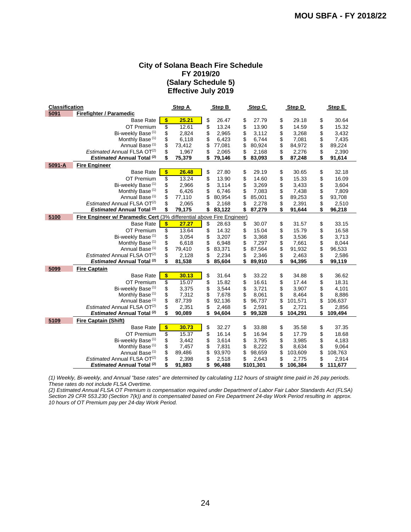#### **City of Solana Beach Fire Schedule FY 2019/20 (Salary Schedule 5) Effective July 2019**

| <b>Classification</b> |                                                                       | Step A       | Step B       | Step C       | Step D        |          | Step E  |
|-----------------------|-----------------------------------------------------------------------|--------------|--------------|--------------|---------------|----------|---------|
| 5091                  | <b>Firefighter / Paramedic</b>                                        |              |              |              |               |          |         |
|                       | <b>Base Rate</b>                                                      | \$<br>25.21  | \$<br>26.47  | \$<br>27.79  | \$<br>29.18   | \$       | 30.64   |
|                       | OT Premium                                                            | \$<br>12.61  | \$<br>13.24  | \$<br>13.90  | \$<br>14.59   | \$       | 15.32   |
|                       | Bi-weekly Base <sup>(1)</sup>                                         | \$<br>2,824  | \$<br>2,965  | \$<br>3,112  | \$<br>3,268   | \$       | 3,432   |
|                       | Monthly Base <sup>(1)</sup>                                           | \$<br>6,118  | \$<br>6,423  | \$<br>6,744  | \$<br>7,081   | \$       | 7,435   |
|                       | Annual Base <sup>(1)</sup>                                            | \$<br>73,412 | \$<br>77,081 | \$<br>80,924 | \$<br>84,972  | \$<br>\$ | 89,224  |
|                       | Estimated Annual FLSA OT <sup>(2)</sup>                               | \$<br>1,967  | \$<br>2,065  | \$<br>2,168  | \$<br>2,276   |          | 2,390   |
|                       | <b>Estimated Annual Total (2)</b>                                     | \$<br>75,379 | \$<br>79,146 | \$<br>83,093 | \$<br>87,248  | \$       | 91,614  |
| 5091-A                | <b>Fire Engineer</b>                                                  |              |              |              |               |          |         |
|                       | <b>Base Rate</b>                                                      | \$<br>26.48  | \$<br>27.80  | \$<br>29.19  | \$<br>30.65   | \$       | 32.18   |
|                       | OT Premium                                                            | \$<br>13.24  | \$<br>13.90  | \$<br>14.60  | \$<br>15.33   | \$       | 16.09   |
|                       | Bi-weekly Base <sup>(1)</sup>                                         | \$<br>2,966  | \$<br>3,114  | \$<br>3,269  | \$<br>3,433   | \$       | 3,604   |
|                       | Monthly Base <sup>(1)</sup>                                           | \$<br>6,426  | \$<br>6,746  | \$<br>7,083  | \$<br>7,438   | \$       | 7,809   |
|                       | Annual Base <sup>(1)</sup>                                            | \$<br>77,110 | \$<br>80,954 | \$<br>85,001 | \$<br>89,253  | \$       | 93,708  |
|                       | Estimated Annual FLSA OT <sup>(2)</sup>                               | \$<br>2,065  | \$<br>2,168  | \$<br>2,278  | \$<br>2,391   | \$       | 2,510   |
|                       | <b>Estimated Annual Total (2)</b>                                     | \$<br>79,175 | \$<br>83,122 | \$<br>87,279 | \$<br>91,644  | \$       | 96,218  |
| 5100                  | Fire Engineer w/ Paramedic Cert (3% differential above Fire Engineer) |              |              |              |               |          |         |
|                       | <b>Base Rate</b>                                                      | \$<br>27.27  | \$<br>28.63  | \$<br>30.07  | \$<br>31.57   | \$       | 33.15   |
|                       | OT Premium                                                            | \$<br>13.64  | \$<br>14.32  | \$<br>15.04  | \$<br>15.79   | \$       | 16.58   |
|                       | Bi-weekly Base <sup>(1)</sup>                                         | \$<br>3,054  | \$<br>3,207  | \$<br>3,368  | \$<br>3,536   | \$       | 3,713   |
|                       | Monthly Base <sup>(1)</sup>                                           | \$<br>6,618  | \$<br>6,948  | \$<br>7,297  | \$<br>7,661   | \$       | 8,044   |
|                       | Annual Base <sup>(1)</sup>                                            | \$<br>79,410 | \$<br>83,371 | \$<br>87,564 | \$<br>91,932  | \$       | 96,533  |
|                       | Estimated Annual FLSA OT <sup>(2)</sup>                               | \$<br>2,128  | \$<br>2,234  | \$<br>2,346  | \$<br>2,463   | \$       | 2,586   |
|                       | <b>Estimated Annual Total (2)</b>                                     | \$<br>81,538 | \$<br>85,604 | \$<br>89,910 | \$<br>94,395  | \$       | 99,119  |
| 5099                  | <b>Fire Captain</b>                                                   |              |              |              |               |          |         |
|                       | <b>Base Rate</b>                                                      | \$<br>30.13  | \$<br>31.64  | \$<br>33.22  | \$<br>34.88   | \$       | 36.62   |
|                       | OT Premium                                                            | \$<br>15.07  | \$<br>15.82  | \$<br>16.61  | \$<br>17.44   | \$       | 18.31   |
|                       | Bi-weekly Base (1)                                                    | \$<br>3,375  | \$<br>3,544  | \$<br>3,721  | \$<br>3,907   | \$       | 4,101   |
|                       | Monthly Base <sup>(1)</sup>                                           | \$<br>7,312  | \$<br>7,678  | \$<br>8,061  | \$<br>8,464   | \$       | 8,886   |
|                       | Annual Base <sup>(1)</sup>                                            | \$<br>87,739 | \$<br>92,136 | \$<br>96,737 | \$<br>101,571 | \$       | 106,637 |
|                       | Estimated Annual FLSA OT <sup>(2)</sup>                               | \$<br>2,351  | \$<br>2,468  | \$<br>2,591  | \$<br>2,721   | \$       | 2,856   |
|                       | <b>Estimated Annual Total (2)</b>                                     | \$<br>90,089 | \$<br>94,604 | \$<br>99,328 | \$<br>104,291 | \$       | 109,494 |
| 5109                  | <b>Fire Captain (Shift)</b>                                           |              |              |              |               |          |         |
|                       | <b>Base Rate</b>                                                      | \$<br>30.73  | \$<br>32.27  | \$<br>33.88  | \$<br>35.58   | \$       | 37.35   |
|                       | OT Premium                                                            | \$<br>15.37  | \$<br>16.14  | \$<br>16.94  | \$<br>17.79   | \$       | 18.68   |
|                       | Bi-weekly Base <sup>(1)</sup>                                         | \$<br>3,442  | \$<br>3,614  | \$<br>3,795  | \$<br>3,985   | \$       | 4,183   |
|                       | Monthly Base <sup>(1)</sup>                                           | \$<br>7,457  | \$<br>7,831  | \$<br>8,222  | \$<br>8,634   | \$       | 9,064   |
|                       | Annual Base <sup>(1)</sup>                                            | \$<br>89,486 | \$<br>93,970 | \$<br>98,659 | \$<br>103,609 | \$       | 108,763 |
|                       | Estimated Annual FLSA OT <sup>(2)</sup>                               | \$<br>2,398  | \$<br>2,518  | \$<br>2,643  | \$<br>2,775   | \$       | 2,914   |
|                       | <b>Estimated Annual Total (2)</b>                                     | \$<br>91,883 | \$<br>96,488 | \$101,301    | \$<br>106,384 | \$       | 111,677 |

*(1) Weekly, Bi-weekly, and Annual "base rates" are determined by calculating 112 hours of straight time paid in 26 pay periods. These rates do not include FLSA Overtime.*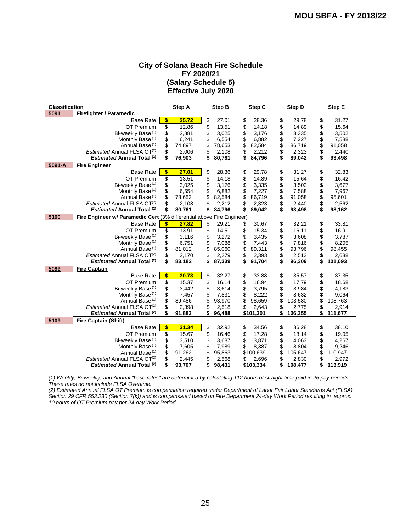#### **City of Solana Beach Fire Schedule FY 2020/21 (Salary Schedule 5) Effective July 2020**

| <b>Classification</b> |                                                                       | Step A       | Step B       | Step C       | Step D        | Step E        |
|-----------------------|-----------------------------------------------------------------------|--------------|--------------|--------------|---------------|---------------|
| 5091                  | <b>Firefighter / Paramedic</b>                                        |              |              |              |               |               |
|                       | <b>Base Rate</b>                                                      | \$<br>25.72  | \$<br>27.01  | \$<br>28.36  | \$<br>29.78   | \$<br>31.27   |
|                       | OT Premium                                                            | \$<br>12.86  | \$<br>13.51  | \$<br>14.18  | \$<br>14.89   | \$<br>15.64   |
|                       | Bi-weekly Base (1)                                                    | \$<br>2,881  | \$<br>3,025  | \$<br>3,176  | \$<br>3,335   | \$<br>3,502   |
|                       | Monthly Base <sup>(1)</sup>                                           | \$<br>6,241  | \$<br>6,554  | \$<br>6,882  | \$<br>7,227   | \$<br>7,588   |
|                       | Annual Base <sup>(1)</sup>                                            | \$<br>74,897 | \$<br>78,653 | \$<br>82,584 | \$<br>86,719  | \$<br>91,058  |
|                       | Estimated Annual FLSA OT <sup>(2)</sup>                               | \$<br>2,006  | \$<br>2,108  | \$<br>2,212  | \$<br>2,323   | \$<br>2,440   |
|                       | <b>Estimated Annual Total (2)</b>                                     | 76,903       | \$<br>80,761 | \$<br>84,796 | \$<br>89,042  | \$<br>93,498  |
| 5091-A                | <b>Fire Engineer</b>                                                  |              |              |              |               |               |
|                       | <b>Base Rate</b>                                                      | \$<br>27.01  | \$<br>28.36  | \$<br>29.78  | \$<br>31.27   | \$<br>32.83   |
|                       | OT Premium                                                            | \$<br>13.51  | \$<br>14.18  | \$<br>14.89  | \$<br>15.64   | \$<br>16.42   |
|                       | Bi-weekly Base <sup>(1)</sup>                                         | \$<br>3,025  | \$<br>3,176  | \$<br>3,335  | \$<br>3,502   | \$<br>3,677   |
|                       | Monthly Base <sup>(1)</sup>                                           | \$<br>6,554  | \$<br>6,882  | \$<br>7,227  | \$<br>7,588   | \$<br>7,967   |
|                       | Annual Base <sup>(1)</sup>                                            | \$<br>78,653 | \$<br>82,584 | \$<br>86,719 | \$<br>91,058  | \$<br>95,601  |
|                       | Estimated Annual FLSA OT <sup>(2)</sup>                               | \$<br>2,108  | \$<br>2,212  | \$<br>2,323  | \$<br>2,440   | \$<br>2,562   |
|                       | <b>Estimated Annual Total (2)</b>                                     | \$<br>80,761 | \$<br>84,796 | \$<br>89,042 | \$<br>93,498  | \$<br>98,162  |
| 5100                  | Fire Engineer w/ Paramedic Cert (3% differential above Fire Engineer) |              |              |              |               |               |
|                       | <b>Base Rate</b>                                                      | \$<br>27.82  | \$<br>29.21  | \$<br>30.67  | \$<br>32.21   | \$<br>33.81   |
|                       | OT Premium                                                            | \$<br>13.91  | \$<br>14.61  | \$<br>15.34  | \$<br>16.11   | \$<br>16.91   |
|                       | Bi-weekly Base <sup>(1)</sup>                                         | \$<br>3,116  | \$<br>3,272  | \$<br>3,435  | \$<br>3,608   | \$<br>3,787   |
|                       | Monthly Base <sup>(1)</sup>                                           | \$<br>6,751  | \$<br>7,088  | \$<br>7,443  | \$<br>7,816   | \$<br>8,205   |
|                       | Annual Base <sup>(1)</sup>                                            | \$<br>81,012 | \$<br>85,060 | \$<br>89,311 | \$<br>93,796  | \$<br>98,455  |
|                       | Estimated Annual FLSA OT <sup>(2)</sup>                               | \$<br>2,170  | \$<br>2,279  | \$<br>2,393  | \$<br>2,513   | \$<br>2,638   |
|                       | <b>Estimated Annual Total (2)</b>                                     | \$<br>83,182 | \$<br>87,339 | \$<br>91,704 | \$<br>96,309  | \$<br>101,093 |
| 5099                  | <b>Fire Captain</b>                                                   |              |              |              |               |               |
|                       | <b>Base Rate</b>                                                      | \$<br>30.73  | \$<br>32.27  | \$<br>33.88  | \$<br>35.57   | \$<br>37.35   |
|                       | OT Premium                                                            | \$<br>15.37  | \$<br>16.14  | \$<br>16.94  | \$<br>17.79   | \$<br>18.68   |
|                       | Bi-weekly Base <sup>(1)</sup>                                         | \$<br>3,442  | \$<br>3,614  | \$<br>3,795  | \$<br>3,984   | \$<br>4,183   |
|                       | Monthly Base <sup>(1)</sup>                                           | \$<br>7,457  | \$<br>7,831  | \$<br>8,222  | \$<br>8,632   | \$<br>9,064   |
|                       | Annual Base <sup>(1)</sup>                                            | \$<br>89,486 | \$<br>93,970 | \$<br>98,659 | \$<br>103,580 | \$<br>108,763 |
|                       | Estimated Annual FLSA OT <sup>(2)</sup>                               | \$<br>2,398  | \$<br>2,518  | \$<br>2,643  | \$<br>2,775   | \$<br>2,914   |
|                       | <b>Estimated Annual Total (2)</b>                                     | \$<br>91,883 | \$<br>96,488 | \$101,301    | \$<br>106,355 | \$<br>111,677 |
| 5109                  | <b>Fire Captain (Shift)</b>                                           |              |              |              |               |               |
|                       | <b>Base Rate</b>                                                      | \$<br>31.34  | \$<br>32.92  | \$<br>34.56  | \$<br>36.28   | \$<br>38.10   |
|                       | OT Premium                                                            | \$<br>15.67  | \$<br>16.46  | \$<br>17.28  | \$<br>18.14   | \$<br>19.05   |
|                       | Bi-weekly Base <sup>(1)</sup>                                         | \$<br>3,510  | \$<br>3,687  | \$<br>3,871  | \$<br>4,063   | \$<br>4,267   |
|                       | Monthly Base <sup>(1)</sup>                                           | \$<br>7,605  | \$<br>7,989  | \$<br>8,387  | \$<br>8,804   | \$<br>9,246   |
|                       | Annual Base <sup>(1)</sup>                                            | \$<br>91,262 | \$<br>95,863 | \$100,639    | \$<br>105,647 | \$<br>110,947 |
|                       | Estimated Annual FLSA OT <sup>(2)</sup>                               | \$<br>2,445  | \$<br>2,568  | \$<br>2,696  | \$<br>2,830   | \$<br>2,972   |
|                       | <b>Estimated Annual Total (2)</b>                                     | \$<br>93,707 | \$<br>98,431 | \$103,334    | \$<br>108,477 | \$<br>113,919 |

*(1) Weekly, Bi-weekly, and Annual "base rates" are determined by calculating 112 hours of straight time paid in 26 pay periods. These rates do not include FLSA Overtime.*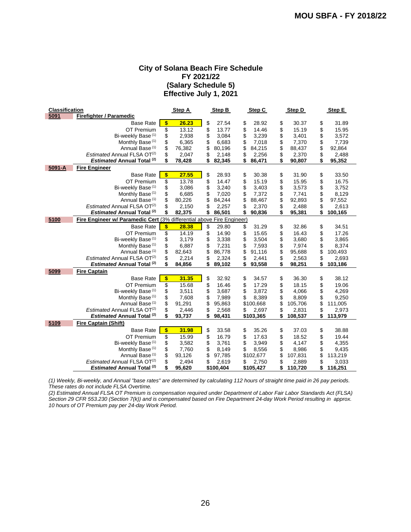#### **City of Solana Beach Fire Schedule FY 2021/22 (Salary Schedule 5) Effective July 1, 2021**

| <b>Classification</b> |                                                                       | Step A       | Step B       | Step C       | Step D        | Step E        |
|-----------------------|-----------------------------------------------------------------------|--------------|--------------|--------------|---------------|---------------|
| 5091                  | <b>Firefighter / Paramedic</b>                                        |              |              |              |               |               |
|                       | <b>Base Rate</b>                                                      | \$<br>26.23  | \$<br>27.54  | \$<br>28.92  | \$<br>30.37   | \$<br>31.89   |
|                       | OT Premium                                                            | \$<br>13.12  | \$<br>13.77  | \$<br>14.46  | \$<br>15.19   | \$<br>15.95   |
|                       | Bi-weekly Base (1)                                                    | \$<br>2,938  | \$<br>3,084  | \$<br>3,239  | \$<br>3,401   | \$<br>3,572   |
|                       | Monthly Base <sup>(1)</sup>                                           | \$<br>6,365  | \$<br>6,683  | \$<br>7,018  | \$<br>7,370   | \$<br>7,739   |
|                       | Annual Base <sup>(1)</sup>                                            | \$<br>76,382 | \$<br>80,196 | \$<br>84,215 | \$<br>88,437  | \$<br>92,864  |
|                       | Estimated Annual FLSA OT <sup>(2)</sup>                               | \$<br>2,047  | \$<br>2,148  | \$<br>2,256  | \$<br>2,370   | \$<br>2,488   |
|                       | <b>Estimated Annual Total (2)</b>                                     | \$<br>78,428 | \$<br>82,345 | \$<br>86,471 | \$<br>90,807  | \$<br>95,352  |
| 5091-A                | <b>Fire Engineer</b>                                                  |              |              |              |               |               |
|                       | <b>Base Rate</b>                                                      | \$<br>27.55  | \$<br>28.93  | \$<br>30.38  | \$<br>31.90   | \$<br>33.50   |
|                       | OT Premium                                                            | \$<br>13.78  | \$<br>14.47  | \$<br>15.19  | \$<br>15.95   | \$<br>16.75   |
|                       | Bi-weekly Base <sup>(1)</sup>                                         | \$<br>3,086  | \$<br>3,240  | \$<br>3,403  | \$<br>3,573   | \$<br>3,752   |
|                       | Monthly Base <sup>(1)</sup>                                           | \$<br>6,685  | \$<br>7,020  | \$<br>7,372  | \$<br>7,741   | \$<br>8,129   |
|                       | Annual Base <sup>(1)</sup>                                            | \$<br>80,226 | \$<br>84,244 | \$<br>88,467 | \$<br>92,893  | \$<br>97,552  |
|                       | Estimated Annual FLSA OT <sup>(2)</sup>                               | \$<br>2,150  | \$<br>2,257  | \$<br>2,370  | \$<br>2,488   | \$<br>2,613   |
|                       | <b>Estimated Annual Total (2)</b>                                     | \$<br>82,375 | \$<br>86,501 | \$<br>90,836 | \$<br>95,381  | \$<br>100,165 |
| 5100                  | Fire Engineer w/ Paramedic Cert (3% differential above Fire Engineer) |              |              |              |               |               |
|                       | <b>Base Rate</b>                                                      | \$<br>28.38  | \$<br>29.80  | \$<br>31.29  | \$<br>32.86   | \$<br>34.51   |
|                       | OT Premium                                                            | \$<br>14.19  | \$<br>14.90  | \$<br>15.65  | \$<br>16.43   | \$<br>17.26   |
|                       | Bi-weekly Base <sup>(1)</sup>                                         | \$<br>3,179  | \$<br>3,338  | \$<br>3,504  | \$<br>3,680   | \$<br>3,865   |
|                       | Monthly Base <sup>(1)</sup>                                           | \$<br>6,887  | \$<br>7,231  | \$<br>7,593  | \$<br>7,974   | \$<br>8,374   |
|                       | Annual Base <sup>(1)</sup>                                            | \$<br>82,643 | \$<br>86,778 | \$<br>91,116 | \$<br>95,688  | \$<br>100,493 |
|                       | Estimated Annual FLSA OT <sup>(2)</sup>                               | \$<br>2,214  | \$<br>2,324  | \$<br>2,441  | \$<br>2,563   | \$<br>2,693   |
|                       | <b>Estimated Annual Total (2)</b>                                     | \$<br>84,856 | \$<br>89,102 | \$<br>93,558 | \$<br>98,251  | \$<br>103,186 |
| 5099                  | <b>Fire Captain</b>                                                   |              |              |              |               |               |
|                       | <b>Base Rate</b>                                                      | \$<br>31.35  | \$<br>32.92  | \$<br>34.57  | \$<br>36.30   | \$<br>38.12   |
|                       | OT Premium                                                            | \$<br>15.68  | \$<br>16.46  | \$<br>17.29  | \$<br>18.15   | \$<br>19.06   |
|                       | Bi-weekly Base <sup>(1)</sup>                                         | \$<br>3,511  | \$<br>3,687  | \$<br>3,872  | \$<br>4,066   | \$<br>4,269   |
|                       | Monthly Base <sup>(1)</sup>                                           | \$<br>7,608  | \$<br>7,989  | \$<br>8,389  | \$<br>8,809   | \$<br>9,250   |
|                       | Annual Base <sup>(1)</sup>                                            | \$<br>91,291 | \$<br>95,863 | \$100,668    | \$<br>105,706 | \$<br>111,005 |
|                       | Estimated Annual FLSA OT <sup>(2)</sup>                               | \$<br>2,446  | \$<br>2,568  | \$<br>2,697  | \$<br>2,831   | \$<br>2,973   |
|                       | <b>Estimated Annual Total (2)</b>                                     | \$<br>93,737 | \$<br>98,431 | \$103,365    | \$<br>108,537 | \$<br>113,979 |
| 5109                  | <b>Fire Captain (Shift)</b>                                           |              |              |              |               |               |
|                       | <b>Base Rate</b>                                                      | \$<br>31.98  | \$<br>33.58  | \$<br>35.26  | \$<br>37.03   | \$<br>38.88   |
|                       | OT Premium                                                            | \$<br>15.99  | \$<br>16.79  | \$<br>17.63  | \$<br>18.52   | \$<br>19.44   |
|                       | Bi-weekly Base <sup>(1)</sup>                                         | \$<br>3,582  | \$<br>3,761  | \$<br>3,949  | \$<br>4,147   | \$<br>4,355   |
|                       | Monthly Base <sup>(1)</sup>                                           | \$<br>7,760  | \$<br>8,149  | \$<br>8,556  | \$<br>8,986   | \$<br>9,435   |
|                       | Annual Base <sup>(1)</sup>                                            | \$<br>93,126 | \$<br>97,785 | \$102,677    | \$<br>107,831 | \$<br>113,219 |
|                       | Estimated Annual FLSA OT <sup>(2)</sup>                               | \$<br>2,494  | \$<br>2,619  | \$<br>2,750  | \$<br>2,889   | \$<br>3,033   |
|                       | <b>Estimated Annual Total (2)</b>                                     | \$<br>95,620 | \$100,404    | \$105,427    | \$<br>110,720 | \$<br>116,251 |

*(1) Weekly, Bi-weekly, and Annual "base rates" are determined by calculating 112 hours of straight time paid in 26 pay periods. These rates do not include FLSA Overtime.*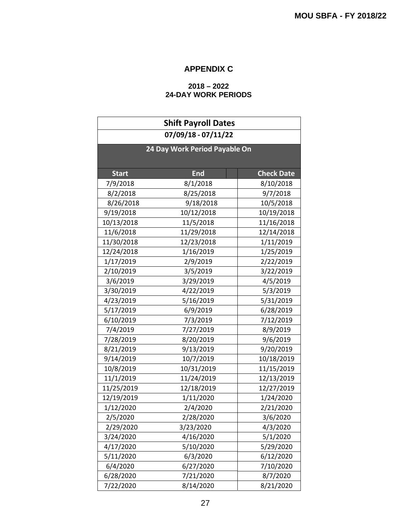# **APPENDIX C**

#### **2018 – 2022 24-DAY WORK PERIODS**

| <b>Shift Payroll Dates</b>    |            |                   |  |  |  |  |  |  |
|-------------------------------|------------|-------------------|--|--|--|--|--|--|
| 07/09/18 - 07/11/22           |            |                   |  |  |  |  |  |  |
| 24 Day Work Period Payable On |            |                   |  |  |  |  |  |  |
|                               |            |                   |  |  |  |  |  |  |
| <b>Start</b>                  | <b>End</b> | <b>Check Date</b> |  |  |  |  |  |  |
| 7/9/2018                      | 8/1/2018   | 8/10/2018         |  |  |  |  |  |  |
| 8/2/2018                      | 8/25/2018  | 9/7/2018          |  |  |  |  |  |  |
| 8/26/2018                     | 9/18/2018  | 10/5/2018         |  |  |  |  |  |  |
| 9/19/2018                     | 10/12/2018 | 10/19/2018        |  |  |  |  |  |  |
| 10/13/2018                    | 11/5/2018  | 11/16/2018        |  |  |  |  |  |  |
| 11/6/2018                     | 11/29/2018 | 12/14/2018        |  |  |  |  |  |  |
| 11/30/2018                    | 12/23/2018 | 1/11/2019         |  |  |  |  |  |  |
| 12/24/2018                    | 1/16/2019  | 1/25/2019         |  |  |  |  |  |  |
| 1/17/2019                     | 2/9/2019   | 2/22/2019         |  |  |  |  |  |  |
| 2/10/2019                     | 3/5/2019   | 3/22/2019         |  |  |  |  |  |  |
| 3/6/2019                      | 3/29/2019  | 4/5/2019          |  |  |  |  |  |  |
| 3/30/2019                     | 4/22/2019  | 5/3/2019          |  |  |  |  |  |  |
| 4/23/2019                     | 5/16/2019  | 5/31/2019         |  |  |  |  |  |  |
| 5/17/2019                     | 6/9/2019   | 6/28/2019         |  |  |  |  |  |  |
| 6/10/2019                     | 7/3/2019   | 7/12/2019         |  |  |  |  |  |  |
| 7/4/2019                      | 7/27/2019  | 8/9/2019          |  |  |  |  |  |  |
| 7/28/2019                     | 8/20/2019  | 9/6/2019          |  |  |  |  |  |  |
| 8/21/2019                     | 9/13/2019  | 9/20/2019         |  |  |  |  |  |  |
| 9/14/2019                     | 10/7/2019  | 10/18/2019        |  |  |  |  |  |  |
| 10/8/2019                     | 10/31/2019 | 11/15/2019        |  |  |  |  |  |  |
| 11/1/2019                     | 11/24/2019 | 12/13/2019        |  |  |  |  |  |  |
| 11/25/2019                    | 12/18/2019 | 12/27/2019        |  |  |  |  |  |  |
| 12/19/2019                    | 1/11/2020  | 1/24/2020         |  |  |  |  |  |  |
| 1/12/2020                     | 2/4/2020   | 2/21/2020         |  |  |  |  |  |  |
| 2/5/2020                      | 2/28/2020  | 3/6/2020          |  |  |  |  |  |  |
| 2/29/2020                     | 3/23/2020  | 4/3/2020          |  |  |  |  |  |  |
| 3/24/2020                     | 4/16/2020  | 5/1/2020          |  |  |  |  |  |  |
| 4/17/2020                     | 5/10/2020  | 5/29/2020         |  |  |  |  |  |  |
| 5/11/2020                     | 6/3/2020   | 6/12/2020         |  |  |  |  |  |  |
| 6/4/2020                      | 6/27/2020  | 7/10/2020         |  |  |  |  |  |  |
| 6/28/2020                     | 7/21/2020  | 8/7/2020          |  |  |  |  |  |  |
| 7/22/2020                     | 8/14/2020  | 8/21/2020         |  |  |  |  |  |  |